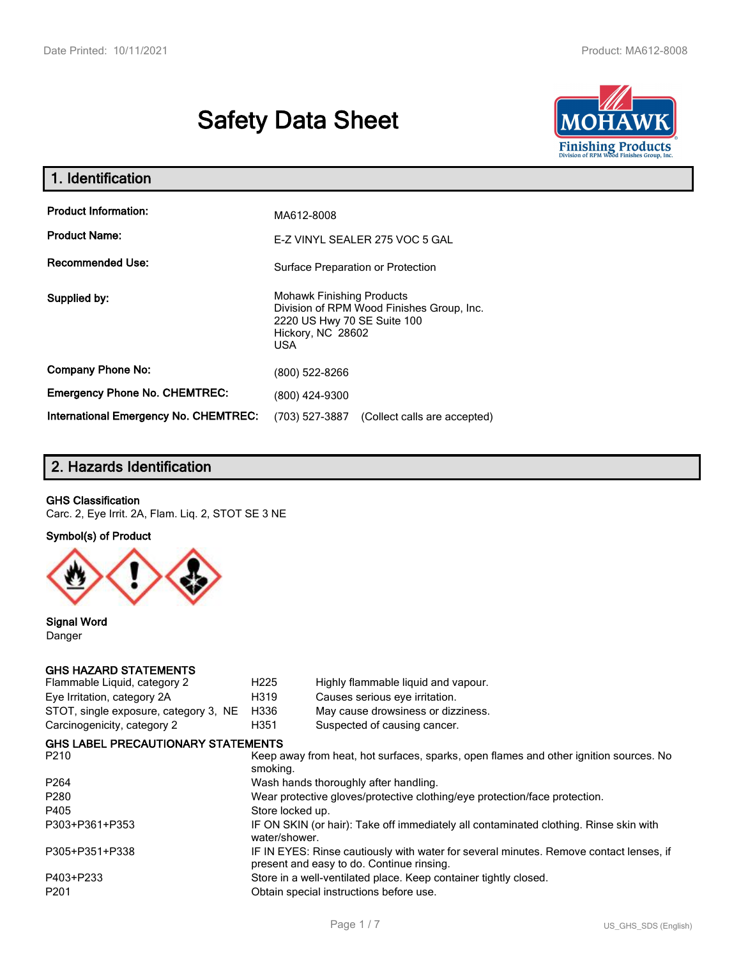# **Safety Data Sheet**



| 1. Identification                                   |                                                                                                                                          |
|-----------------------------------------------------|------------------------------------------------------------------------------------------------------------------------------------------|
| <b>Product Information:</b><br><b>Product Name:</b> | MA612-8008<br>E-Z VINYL SEALER 275 VOC 5 GAL                                                                                             |
| <b>Recommended Use:</b>                             | Surface Preparation or Protection                                                                                                        |
| Supplied by:                                        | <b>Mohawk Finishing Products</b><br>Division of RPM Wood Finishes Group, Inc.<br>2220 US Hwy 70 SE Suite 100<br>Hickory, NC 28602<br>USA |
| <b>Company Phone No:</b>                            | (800) 522-8266                                                                                                                           |
| <b>Emergency Phone No. CHEMTREC:</b>                | (800) 424-9300                                                                                                                           |
| <b>International Emergency No. CHEMTREC:</b>        | (703) 527-3887<br>(Collect calls are accepted)                                                                                           |

## **2. Hazards Identification**

#### **GHS Classification**

Carc. 2, Eye Irrit. 2A, Flam. Liq. 2, STOT SE 3 NE

#### **Symbol(s) of Product**



**Signal Word** Danger

#### **GHS HAZARD STATEMENTS**

| H <sub>225</sub>                                                                                                                    | Highly flammable liquid and vapour.     |  |
|-------------------------------------------------------------------------------------------------------------------------------------|-----------------------------------------|--|
| H319                                                                                                                                | Causes serious eye irritation.          |  |
| H336<br>May cause drowsiness or dizziness.                                                                                          |                                         |  |
| H351                                                                                                                                | Suspected of causing cancer.            |  |
| <b>GHS LABEL PRECAUTIONARY STATEMENTS</b>                                                                                           |                                         |  |
| P <sub>210</sub><br>Keep away from heat, hot surfaces, sparks, open flames and other ignition sources. No<br>smoking.               |                                         |  |
| Wash hands thoroughly after handling.                                                                                               |                                         |  |
| Wear protective gloves/protective clothing/eye protection/face protection.                                                          |                                         |  |
| Store locked up.                                                                                                                    |                                         |  |
| IF ON SKIN (or hair): Take off immediately all contaminated clothing. Rinse skin with<br>water/shower.                              |                                         |  |
| IF IN EYES: Rinse cautiously with water for several minutes. Remove contact lenses, if<br>present and easy to do. Continue rinsing. |                                         |  |
| Store in a well-ventilated place. Keep container tightly closed.                                                                    |                                         |  |
|                                                                                                                                     | Obtain special instructions before use. |  |
|                                                                                                                                     |                                         |  |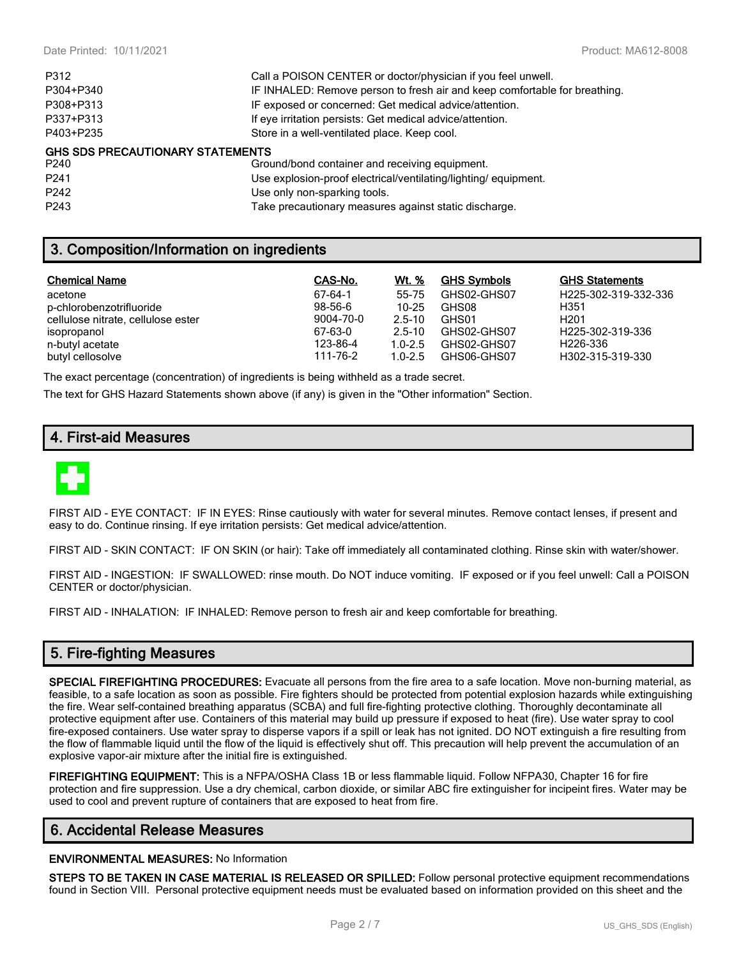| P312                                    | Call a POISON CENTER or doctor/physician if you feel unwell.               |
|-----------------------------------------|----------------------------------------------------------------------------|
| P304+P340                               | IF INHALED: Remove person to fresh air and keep comfortable for breathing. |
| P308+P313                               | IF exposed or concerned: Get medical advice/attention.                     |
| P337+P313                               | If eye irritation persists: Get medical advice/attention.                  |
| P403+P235                               | Store in a well-ventilated place. Keep cool.                               |
| <b>GHS SDS PRECAUTIONARY STATEMENTS</b> |                                                                            |
| P240                                    | Ground/bond container and receiving equipment.                             |
| P <sub>241</sub>                        | Use explosion-proof electrical/ventilating/lighting/ equipment.            |
| P <sub>242</sub>                        | Use only non-sparking tools.                                               |

## **3. Composition/Information on ingredients**

| <b>Chemical Name</b>               | CAS-No.   | Wt. %       | GH <u>S Symbols</u> | <b>GHS Statements</b> |
|------------------------------------|-----------|-------------|---------------------|-----------------------|
| acetone                            | 67-64-1   | 55-75       | GHS02-GHS07         | H225-302-319-332-336  |
| p-chlorobenzotrifluoride           | $98-56-6$ | $10 - 25$   | GHS08               | H351                  |
| cellulose nitrate, cellulose ester | 9004-70-0 | $2.5 - 10$  | GHS01               | H <sub>201</sub>      |
| isopropanol                        | 67-63-0   | $2.5 - 10$  | GHS02-GHS07         | H225-302-319-336      |
| n-butyl acetate                    | 123-86-4  | $1.0 - 2.5$ | GHS02-GHS07         | H226-336              |
| butyl cellosolve                   | 111-76-2  | $1.0 - 2.5$ | GHS06-GHS07         | H302-315-319-330      |

The exact percentage (concentration) of ingredients is being withheld as a trade secret.

The text for GHS Hazard Statements shown above (if any) is given in the "Other information" Section.

P243 Take precautionary measures against static discharge.

## **4. First-aid Measures**



FIRST AID - EYE CONTACT: IF IN EYES: Rinse cautiously with water for several minutes. Remove contact lenses, if present and easy to do. Continue rinsing. If eye irritation persists: Get medical advice/attention.

FIRST AID - SKIN CONTACT: IF ON SKIN (or hair): Take off immediately all contaminated clothing. Rinse skin with water/shower.

FIRST AID - INGESTION: IF SWALLOWED: rinse mouth. Do NOT induce vomiting. IF exposed or if you feel unwell: Call a POISON CENTER or doctor/physician.

FIRST AID - INHALATION: IF INHALED: Remove person to fresh air and keep comfortable for breathing.

## **5. Fire-fighting Measures**

**SPECIAL FIREFIGHTING PROCEDURES:** Evacuate all persons from the fire area to a safe location. Move non-burning material, as feasible, to a safe location as soon as possible. Fire fighters should be protected from potential explosion hazards while extinguishing the fire. Wear self-contained breathing apparatus (SCBA) and full fire-fighting protective clothing. Thoroughly decontaminate all protective equipment after use. Containers of this material may build up pressure if exposed to heat (fire). Use water spray to cool fire-exposed containers. Use water spray to disperse vapors if a spill or leak has not ignited. DO NOT extinguish a fire resulting from the flow of flammable liquid until the flow of the liquid is effectively shut off. This precaution will help prevent the accumulation of an explosive vapor-air mixture after the initial fire is extinguished.

**FIREFIGHTING EQUIPMENT:** This is a NFPA/OSHA Class 1B or less flammable liquid. Follow NFPA30, Chapter 16 for fire protection and fire suppression. Use a dry chemical, carbon dioxide, or similar ABC fire extinguisher for incipeint fires. Water may be used to cool and prevent rupture of containers that are exposed to heat from fire.

## **6. Accidental Release Measures**

#### **ENVIRONMENTAL MEASURES:** No Information

**STEPS TO BE TAKEN IN CASE MATERIAL IS RELEASED OR SPILLED:** Follow personal protective equipment recommendations found in Section VIII. Personal protective equipment needs must be evaluated based on information provided on this sheet and the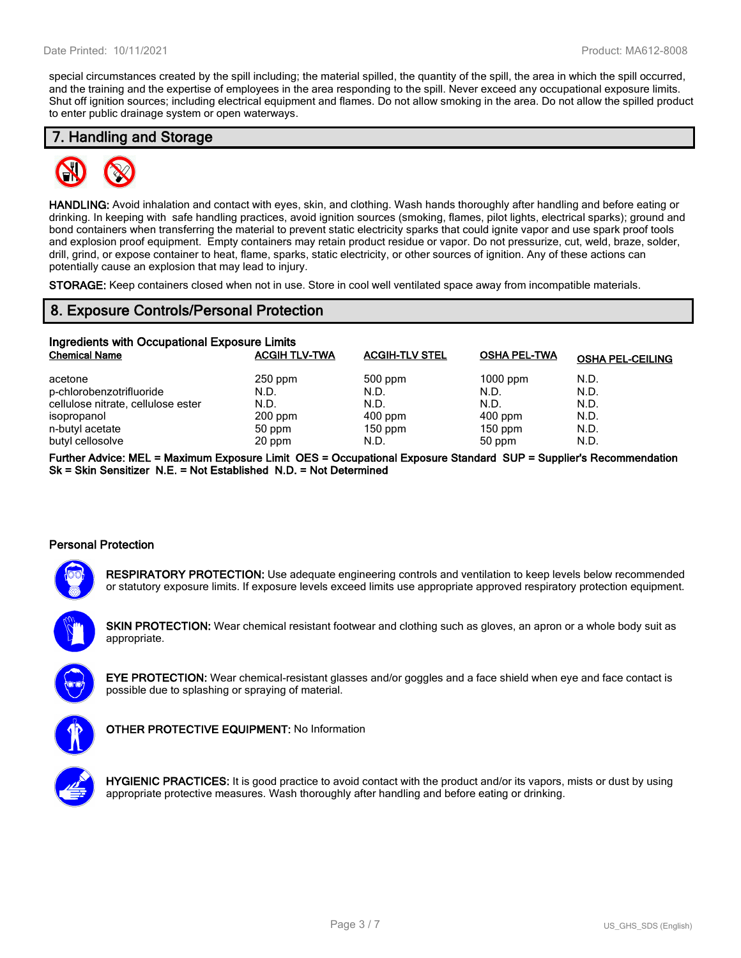special circumstances created by the spill including; the material spilled, the quantity of the spill, the area in which the spill occurred, and the training and the expertise of employees in the area responding to the spill. Never exceed any occupational exposure limits. Shut off ignition sources; including electrical equipment and flames. Do not allow smoking in the area. Do not allow the spilled product to enter public drainage system or open waterways.

#### **7. Handling and Storage**



**HANDLING:** Avoid inhalation and contact with eyes, skin, and clothing. Wash hands thoroughly after handling and before eating or drinking. In keeping with safe handling practices, avoid ignition sources (smoking, flames, pilot lights, electrical sparks); ground and bond containers when transferring the material to prevent static electricity sparks that could ignite vapor and use spark proof tools and explosion proof equipment. Empty containers may retain product residue or vapor. Do not pressurize, cut, weld, braze, solder, drill, grind, or expose container to heat, flame, sparks, static electricity, or other sources of ignition. Any of these actions can potentially cause an explosion that may lead to injury.

**STORAGE:** Keep containers closed when not in use. Store in cool well ventilated space away from incompatible materials.

#### **8. Exposure Controls/Personal Protection**

| Ingredients with Occupational Exposure Limits |                      |                       |                     |                         |  |
|-----------------------------------------------|----------------------|-----------------------|---------------------|-------------------------|--|
| <b>Chemical Name</b>                          | <b>ACGIH TLV-TWA</b> | <b>ACGIH-TLV STEL</b> | <b>OSHA PEL-TWA</b> | <b>OSHA PEL-CEILING</b> |  |
| acetone                                       | $250$ ppm            | 500 ppm               | $1000$ ppm          | N.D.                    |  |
| p-chlorobenzotrifluoride                      | N.D.                 | N.D.                  | N.D.                | N.D.                    |  |
| cellulose nitrate, cellulose ester            | N.D.                 | N.D.                  | N.D.                | N.D.                    |  |
| isopropanol                                   | $200$ ppm            | $400$ ppm             | $400$ ppm           | N.D.                    |  |
| n-butyl acetate                               | 50 ppm               | $150$ ppm             | $150$ ppm           | N.D.                    |  |
| butyl cellosolve                              | 20 ppm               | N.D.                  | 50 ppm              | N.D.                    |  |

**Further Advice: MEL = Maximum Exposure Limit OES = Occupational Exposure Standard SUP = Supplier's Recommendation Sk = Skin Sensitizer N.E. = Not Established N.D. = Not Determined**

#### **Personal Protection**



**RESPIRATORY PROTECTION:** Use adequate engineering controls and ventilation to keep levels below recommended or statutory exposure limits. If exposure levels exceed limits use appropriate approved respiratory protection equipment.

**SKIN PROTECTION:** Wear chemical resistant footwear and clothing such as gloves, an apron or a whole body suit as appropriate.

**EYE PROTECTION:** Wear chemical-resistant glasses and/or goggles and a face shield when eye and face contact is possible due to splashing or spraying of material.



**OTHER PROTECTIVE EQUIPMENT:** No Information



**HYGIENIC PRACTICES:** It is good practice to avoid contact with the product and/or its vapors, mists or dust by using appropriate protective measures. Wash thoroughly after handling and before eating or drinking.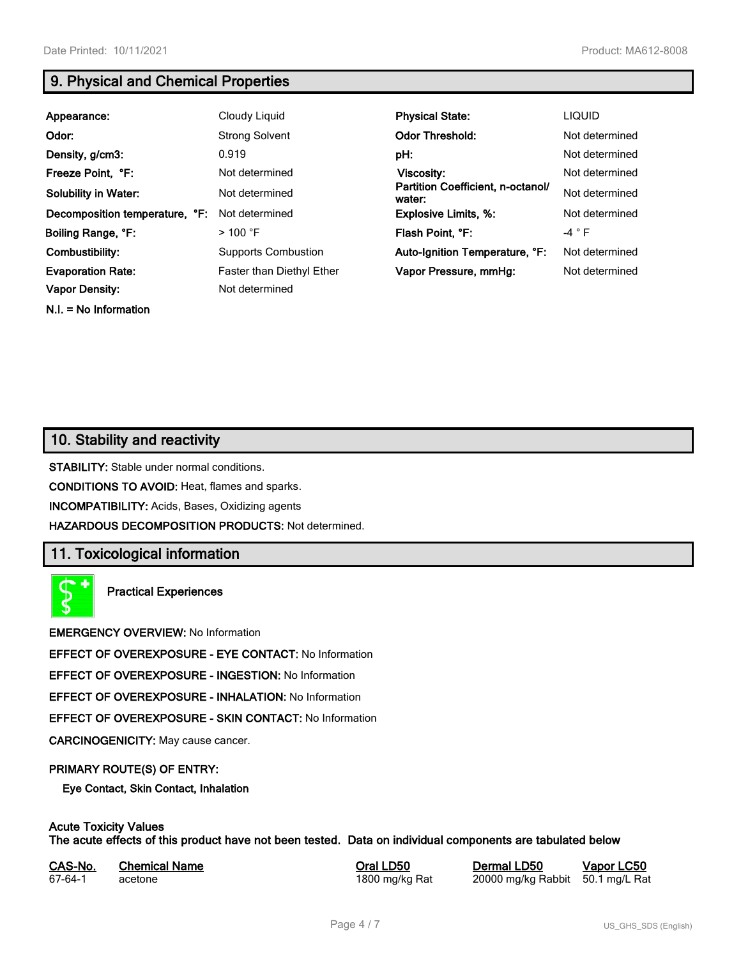**N.I. = No Information**

## **9. Physical and Chemical Properties**

| Appearance:                    | Cloudy Liquid                    | <b>Physical State:</b>                      | <b>LIQUID</b>  |
|--------------------------------|----------------------------------|---------------------------------------------|----------------|
| Odor:                          | <b>Strong Solvent</b>            | <b>Odor Threshold:</b>                      | Not determined |
| Density, g/cm3:                | 0.919                            | pH:                                         | Not determined |
| Freeze Point, °F:              | Not determined                   | Viscosity:                                  | Not determined |
| <b>Solubility in Water:</b>    | Not determined                   | Partition Coefficient, n-octanol/<br>water: | Not determined |
| Decomposition temperature, °F: | Not determined                   | <b>Explosive Limits, %:</b>                 | Not determined |
| Boiling Range, °F:             | $>$ 100 °F                       | Flash Point, °F:                            | $-4 ° F$       |
| Combustibility:                | <b>Supports Combustion</b>       | Auto-Ignition Temperature, °F:              | Not determined |
| <b>Evaporation Rate:</b>       | <b>Faster than Diethyl Ether</b> | Vapor Pressure, mmHg:                       | Not determined |
| <b>Vapor Density:</b>          | Not determined                   |                                             |                |

## **10. Stability and reactivity**

**STABILITY:** Stable under normal conditions.

**CONDITIONS TO AVOID:** Heat, flames and sparks.

**INCOMPATIBILITY:** Acids, Bases, Oxidizing agents

**HAZARDOUS DECOMPOSITION PRODUCTS:** Not determined.

## **11. Toxicological information**

**Practical Experiences**

**EMERGENCY OVERVIEW:** No Information

**EFFECT OF OVEREXPOSURE - EYE CONTACT:** No Information

**EFFECT OF OVEREXPOSURE - INGESTION:** No Information

**EFFECT OF OVEREXPOSURE - INHALATION:** No Information

**EFFECT OF OVEREXPOSURE - SKIN CONTACT:** No Information

**CARCINOGENICITY:** May cause cancer.

#### **PRIMARY ROUTE(S) OF ENTRY:**

**Eye Contact, Skin Contact, Inhalation**

## **Acute Toxicity Values**

**The acute effects of this product have not been tested. Data on individual components are tabulated below**

| CAS-No. | <b>Chemical Name</b> |  |
|---------|----------------------|--|
| 67-64-1 | acetone              |  |

**CASA-No. 2018 CONO. In the CASE CASE CONOCO CONOCO CONOCO CONOCO CONOCO CONOCO CONOCO CONOCO CONOCO CONOCO CONOCO CONOCO CONOCO CONOCO CONOCO CONOCO CONOCO CONOCO CONOCO CONOCO CONOCO CONOCO CONOCO CONOCO CONOCO CONOCO** 1800 mg/kg Rat 20000 mg/kg Rabbit 50.1 mg/L Rat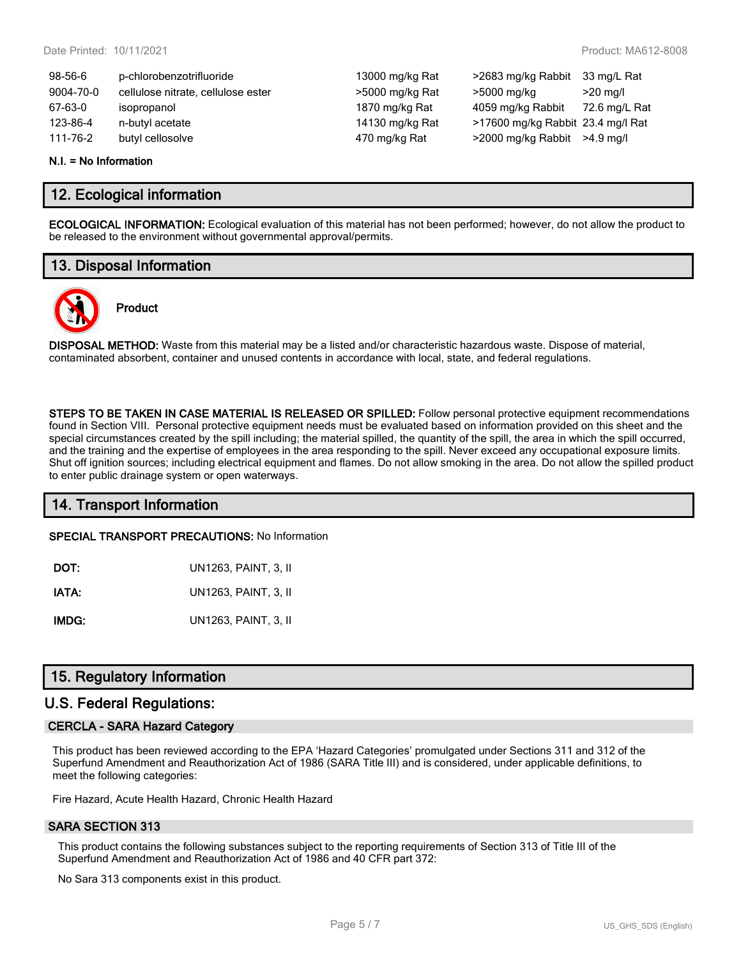13000 mg/kg Rat >2683 mg/kg Rabbit 33 mg/L Rat >5000 mg/kg Rat >5000 mg/kg >20 mg/l 1870 mg/kg Rat 4059 mg/kg Rabbit 72.6 mg/L Rat 14130 mg/kg Rat >17600 mg/kg Rabbit 23.4 mg/l Rat 170 mg/kg Rat >2000 mg/kg Rabbit >4.9 mg/l

| 98-56-6   | p-chlorobenzotrifluoride           |
|-----------|------------------------------------|
| 9004-70-0 | cellulose nitrate, cellulose ester |
| 67-63-0   | isopropanol                        |
| 123-86-4  | n-butyl acetate                    |
| 111-76-2  | butyl cellosolve                   |

#### **N.I. = No Information**

### **12. Ecological information**

**ECOLOGICAL INFORMATION:** Ecological evaluation of this material has not been performed; however, do not allow the product to be released to the environment without governmental approval/permits.

## **13. Disposal Information**



# **Product**

**DISPOSAL METHOD:** Waste from this material may be a listed and/or characteristic hazardous waste. Dispose of material, contaminated absorbent, container and unused contents in accordance with local, state, and federal regulations.

**STEPS TO BE TAKEN IN CASE MATERIAL IS RELEASED OR SPILLED:** Follow personal protective equipment recommendations found in Section VIII. Personal protective equipment needs must be evaluated based on information provided on this sheet and the special circumstances created by the spill including; the material spilled, the quantity of the spill, the area in which the spill occurred, and the training and the expertise of employees in the area responding to the spill. Never exceed any occupational exposure limits. Shut off ignition sources; including electrical equipment and flames. Do not allow smoking in the area. Do not allow the spilled product to enter public drainage system or open waterways.

## **14. Transport Information**

**SPECIAL TRANSPORT PRECAUTIONS:** No Information

| DOT:  | UN1263, PAINT, 3, II |
|-------|----------------------|
| IATA: | UN1263, PAINT, 3, II |

**IMDG:** UN1263, PAINT, 3, II

## **15. Regulatory Information**

#### **U.S. Federal Regulations:**

#### **CERCLA - SARA Hazard Category**

This product has been reviewed according to the EPA 'Hazard Categories' promulgated under Sections 311 and 312 of the Superfund Amendment and Reauthorization Act of 1986 (SARA Title III) and is considered, under applicable definitions, to meet the following categories:

Fire Hazard, Acute Health Hazard, Chronic Health Hazard

#### **SARA SECTION 313**

This product contains the following substances subject to the reporting requirements of Section 313 of Title III of the Superfund Amendment and Reauthorization Act of 1986 and 40 CFR part 372:

No Sara 313 components exist in this product.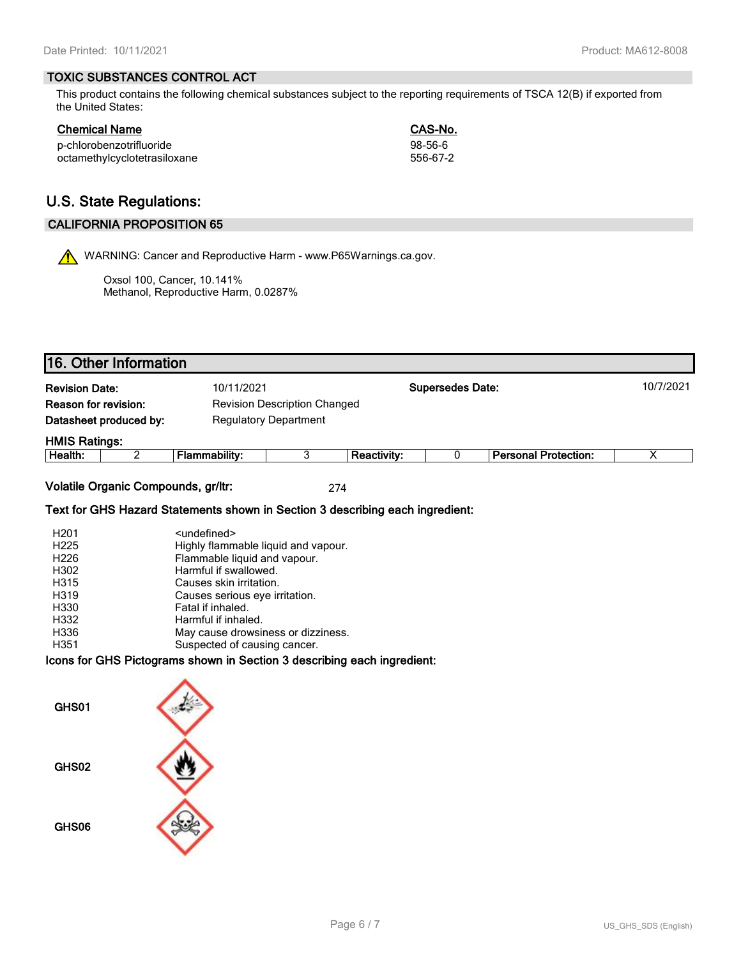#### **TOXIC SUBSTANCES CONTROL ACT**

This product contains the following chemical substances subject to the reporting requirements of TSCA 12(B) if exported from the United States:

| Chemical Name                | CAS-No.  |
|------------------------------|----------|
| p-chlorobenzotrifluoride     | 98-56-6  |
| octamethylcyclotetrasiloxane | 556-67-2 |

# **U.S. State Regulations:**

#### **CALIFORNIA PROPOSITION 65**

WARNING: Cancer and Reproductive Harm - www.P65Warnings.ca.gov.

Oxsol 100, Cancer, 10.141% Methanol, Reproductive Harm, 0.0287%

|                                                             | 16. Other Information  |                              |  |                    |                         |                             |           |
|-------------------------------------------------------------|------------------------|------------------------------|--|--------------------|-------------------------|-----------------------------|-----------|
| <b>Revision Date:</b>                                       |                        | 10/11/2021                   |  |                    | <b>Supersedes Date:</b> |                             | 10/7/2021 |
| Reason for revision:<br><b>Revision Description Changed</b> |                        |                              |  |                    |                         |                             |           |
|                                                             | Datasheet produced by: | <b>Regulatory Department</b> |  |                    |                         |                             |           |
| <b>HMIS Ratings:</b>                                        |                        |                              |  |                    |                         |                             |           |
| Health:                                                     |                        | Flammability:                |  | <b>Reactivity:</b> |                         | <b>Personal Protection:</b> |           |
|                                                             |                        |                              |  |                    |                         |                             |           |

**Volatile Organic Compounds, gr/ltr:** 274

#### **Text for GHS Hazard Statements shown in Section 3 describing each ingredient:**

| H <sub>201</sub> | <undefined></undefined>             |
|------------------|-------------------------------------|
| H <sub>225</sub> | Highly flammable liquid and vapour. |
| H <sub>226</sub> | Flammable liquid and vapour.        |
| H302             | Harmful if swallowed.               |
| H315             | Causes skin irritation.             |
| H319             | Causes serious eye irritation.      |
| H330             | Fatal if inhaled.                   |
| H332             | Harmful if inhaled.                 |
| H336             | May cause drowsiness or dizziness.  |
| H351             | Suspected of causing cancer.        |

**Icons for GHS Pictograms shown in Section 3 describing each ingredient:**